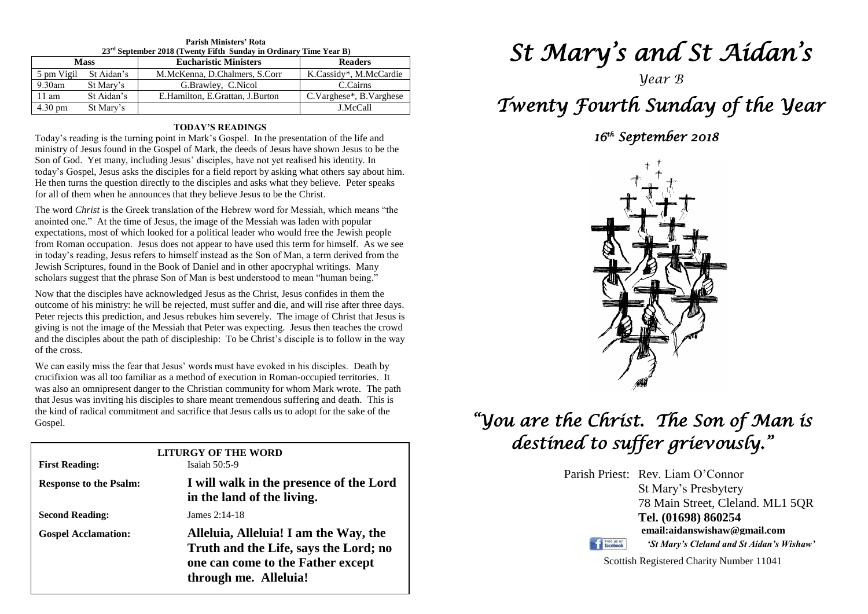| $23rd$ September 2018 (Twenty Fifth Sunday in Ordinary Time Year B) |            |                                 |                         |
|---------------------------------------------------------------------|------------|---------------------------------|-------------------------|
| <b>Mass</b>                                                         |            | <b>Eucharistic Ministers</b>    | <b>Readers</b>          |
| 5 pm Vigil                                                          | St Aidan's | M.McKenna, D.Chalmers, S.Corr   | K.Cassidy*, M.McCardie  |
| $9.30$ am                                                           | St Mary's  | G.Brawley, C.Nicol              | C.Cairns                |
| 11 am                                                               | St Aidan's | E.Hamilton, E.Grattan, J.Burton | C.Varghese*, B.Varghese |
| $4.30 \text{ pm}$                                                   | St Mary's  |                                 | J.McCall                |

### **Parish Ministers' Rota**

#### **TODAY'S READINGS**

Today's reading is the turning point in Mark's Gospel. In the presentation of the life and ministry of Jesus found in the Gospel of Mark, the deeds of Jesus have shown Jesus to be the Son of God. Yet many, including Jesus' disciples, have not yet realised his identity. In today's Gospel, Jesus asks the disciples for a field report by asking what others say about him. He then turns the question directly to the disciples and asks what they believe. Peter speaks for all of them when he announces that they believe Jesus to be the Christ.

The word *Christ* is the Greek translation of the Hebrew word for Messiah, which means "the anointed one." At the time of Jesus, the image of the Messiah was laden with popular expectations, most of which looked for a political leader who would free the Jewish people from Roman occupation. Jesus does not appear to have used this term for himself. As we see in today's reading, Jesus refers to himself instead as the Son of Man, a term derived from the Jewish Scriptures, found in the Book of Daniel and in other apocryphal writings. Many scholars suggest that the phrase Son of Man is best understood to mean "human being."

Peter rejects this prediction, and Jesus rebukes him severely. The image of Christ that Jesus is<br>giving is not the image of the Messiah that Peter was expecting. Jesus then teaches the crowd<br>and the disciples about the pat Now that the disciples have acknowledged Jesus as the Christ, Jesus confides in them the outcome of his ministry: he will be rejected, must suffer and die, and will rise after three days. Peter rejects this prediction, and Jesus rebukes him severely. The image of Christ that Jesus is and the disciples about the path of discipleship: To be Christ's disciple is to follow in the way of the cross.

or the cross.<br>We can easily miss the fear that Jesus' words must have evoked in his disciples. Death by was also an omnipresent danger to the Christian community for whom Mark wrote. The path that Jesus was inviting his disciples to share meant tremendous suffering and death. This is crucifixion was all too familiar as a method of execution in Roman-occupied territories. It that Jesus was inviting his disciples to share meant tremendous suffering and death. This is the kind of radical commitment and sacrifice that Jesus calls us to adopt for the sake of the Gospel.

| <b>First Reading:</b>         | LITURGY OF THE WORD<br>Isaiah $50:5-9$                                                                                                       |
|-------------------------------|----------------------------------------------------------------------------------------------------------------------------------------------|
| <b>Response to the Psalm:</b> | I will walk in the presence of the Lord<br>in the land of the living.                                                                        |
| <b>Second Reading:</b>        | James $2:14-18$                                                                                                                              |
| <b>Gospel Acclamation:</b>    | Alleluia, Alleluia! I am the Way, the<br>Truth and the Life, says the Lord; no<br>one can come to the Father except<br>through me. Alleluia! |

**Gospel:** Mark 7:31-37

# *St Mary's and St Aidan's*

*Year B*

# *Twenty Fourth Sunday of the Year*

### *16th September 2018*



## *"You are the Christ. The Son of Man is destined to suffer grievously."*

Parish Priest: Rev. Liam O'Connor St Mary's Presbytery 78 Main Street, Cleland. ML1 5QR **Tel. (01698) 860254 email:aidanswishaw@gmail.com** Find us on *'St Mary's Cleland and St Aidan's Wishaw'*

Scottish Registered Charity Number 11041